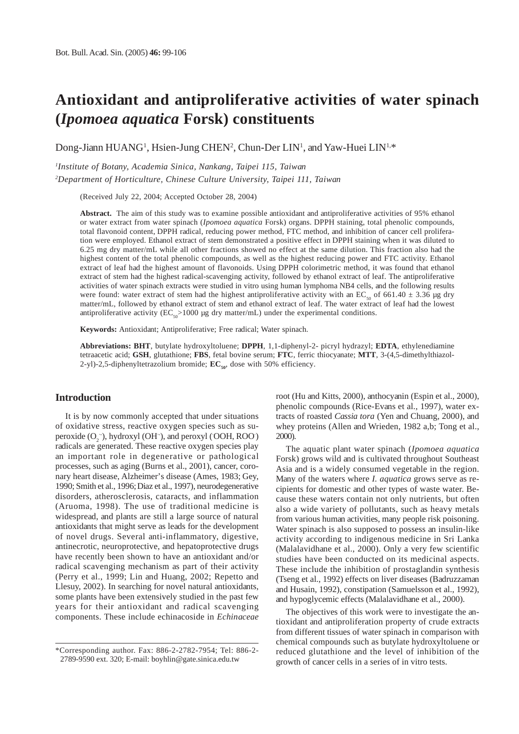# **Antioxidant and antiproliferative activities of water spinach (***Ipomoea aquatica* **Forsk) constituents**

Dong-Jiann HUANG<sup>1</sup>, Hsien-Jung CHEN<sup>2</sup>, Chun-Der LIN<sup>1</sup>, and Yaw-Huei LIN<sup>1,\*</sup>

*1 Institute of Botany, Academia Sinica, Nankang, Taipei 115, Taiwan 2 Department of Horticulture, Chinese Culture University, Taipei 111, Taiwan*

(Received July 22, 2004; Accepted October 28, 2004)

**Abstract.** The aim of this study was to examine possible antioxidant and antiproliferative activities of 95% ethanol or water extract from water spinach (*Ipomoea aquatica* Forsk) organs. DPPH staining, total phenolic compounds, total flavonoid content, DPPH radical, reducing power method, FTC method, and inhibition of cancer cell proliferation were employed. Ethanol extract of stem demonstrated a positive effect in DPPH staining when it was diluted to 6.25 mg dry matter/mL while all other fractions showed no effect at the same dilution. This fraction also had the highest content of the total phenolic compounds, as well as the highest reducing power and FTC activity. Ethanol extract of leaf had the highest amount of flavonoids. Using DPPH colorimetric method, it was found that ethanol extract of stem had the highest radical-scavenging activity, followed by ethanol extract of leaf. The antiproliferative activities of water spinach extracts were studied in vitro using human lymphoma NB4 cells, and the following results were found: water extract of stem had the highest antiproliferative activity with an  $EC_{50}$  of 661.40  $\pm$  3.36 µg dry matter/mL, followed by ethanol extract of stem and ethanol extract of leaf. The water extract of leaf had the lowest antiproliferative activity ( $EC_{50}$  > 1000 µg dry matter/mL) under the experimental conditions.

**Keywords:** Antioxidant; Antiproliferative; Free radical; Water spinach.

**Abbreviations: BHT**, butylate hydroxyltoluene; **DPPH**, 1,1-diphenyl-2- picryl hydrazyl; **EDTA**, ethylenediamine tetraacetic acid; **GSH**, glutathione; **FBS**, fetal bovine serum; **FTC**, ferric thiocyanate; **MTT**, 3-(4,5-dimethylthiazol-2-yl)-2,5-diphenyltetrazolium bromide;  $EC_{50}$ , dose with 50% efficiency.

## **Introduction**

It is by now commonly accepted that under situations of oxidative stress, reactive oxygen species such as superoxide  $(O_2^-)$ , hydroxyl (OH $\cdot$ ), and peroxyl (OOH, ROO) radicals are generated. These reactive oxygen species play an important role in degenerative or pathological processes, such as aging (Burns et al., 2001), cancer, coronary heart disease, Alzheimer's disease (Ames, 1983; Gey, 1990; Smith et al., 1996; Diaz et al., 1997), neurodegenerative disorders, atherosclerosis, cataracts, and inflammation (Aruoma, 1998). The use of traditional medicine is widespread, and plants are still a large source of natural antioxidants that might serve as leads for the development of novel drugs. Several anti-inflammatory, digestive, antinecrotic, neuroprotective, and hepatoprotective drugs have recently been shown to have an antioxidant and/or radical scavenging mechanism as part of their activity (Perry et al., 1999; Lin and Huang, 2002; Repetto and Llesuy, 2002). In searching for novel natural antioxidants, some plants have been extensively studied in the past few years for their antioxidant and radical scavenging components. These include echinacoside in *Echinaceae*

root (Hu and Kitts, 2000), anthocyanin (Espin et al., 2000), phenolic compounds (Rice-Evans et al., 1997), water extracts of roasted *Cassia tora* (Yen and Chuang, 2000), and whey proteins (Allen and Wrieden, 1982 a,b; Tong et al., 2000).

The aquatic plant water spinach (*Ipomoea aquatica* Forsk) grows wild and is cultivated throughout Southeast Asia and is a widely consumed vegetable in the region. Many of the waters where *I. aquatica* grows serve as recipients for domestic and other types of waste water. Because these waters contain not only nutrients, but often also a wide variety of pollutants, such as heavy metals from various human activities, many people risk poisoning. Water spinach is also supposed to possess an insulin-like activity according to indigenous medicine in Sri Lanka (Malalavidhane et al., 2000). Only a very few scientific studies have been conducted on its medicinal aspects. These include the inhibition of prostaglandin synthesis (Tseng et al., 1992) effects on liver diseases (Badruzzaman and Husain, 1992), constipation (Samuelsson et al., 1992), and hypoglycemic effects (Malalavidhane et al., 2000).

The objectives of this work were to investigate the antioxidant and antiproliferation property of crude extracts from different tissues of water spinach in comparison with chemical compounds such as butylate hydroxyltoluene or reduced glutathione and the level of inhibition of the growth of cancer cells in a series of in vitro tests.

<sup>\*</sup>Corresponding author. Fax: 886-2-2782-7954; Tel: 886-2- 2789-9590 ext. 320; E-mail: boyhlin@gate.sinica.edu.tw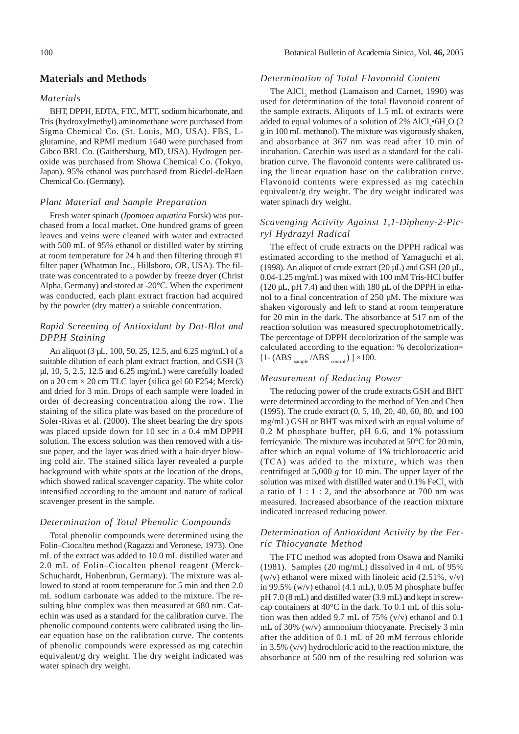#### **Materials and Methods**

#### *Materials*

BHT, DPPH, EDTA, FTC, MTT, sodium bicarbonate, and Tris (hydroxylmethyl) aminomethane were purchased from Sigma Chemical Co. (St. Louis, MO, USA). FBS, Lglutamine, and RPMI medium 1640 were purchased from Gibco BRL Co. (Gaithersburg, MD, USA). Hydrogen peroxide was purchased from Showa Chemical Co. (Tokyo, Japan). 95% ethanol was purchased from Riedel-deHaen Chemical Co. (Germany).

#### *Plant Material and Sample Preparation*

Fresh water spinach (*Ipomoea aquatica* Forsk) was purchased from a local market. One hundred grams of green leaves and veins were cleaned with water and extracted with 500 mL of 95% ethanol or distilled water by stirring at room temperature for 24 h and then filtering through #1 filter paper (Whatman Inc., Hillsboro, OR, USA). The filtrate was concentrated to a powder by freeze dryer (Christ Alpha, Germany) and stored at -20°C. When the experiment was conducted, each plant extract fraction had acquired by the powder (dry matter) a suitable concentration.

## *Rapid Screening of Antioxidant by Dot-Blot and DPPH Staining*

An aliquot (3 µL, 100, 50, 25, 12.5, and 6.25 mg/mL) of a suitable dilution of each plant extract fraction, and GSH (3 µl, 10, 5, 2.5, 12.5 and 6.25 mg/mL) were carefully loaded on a 20 cm  $\times$  20 cm TLC layer (silica gel 60 F254; Merck) and dried for 3 min. Drops of each sample were loaded in order of decreasing concentration along the row. The staining of the silica plate was based on the procedure of Soler-Rivas et al. (2000). The sheet bearing the dry spots was placed upside down for 10 sec in a 0.4 mM DPPH solution. The excess solution was then removed with a tissue paper, and the layer was dried with a hair-dryer blowing cold air. The stained silica layer revealed a purple background with white spots at the location of the drops, which showed radical scavenger capacity. The white color intensified according to the amount and nature of radical scavenger present in the sample.

#### *Determination of Total Phenolic Compounds*

Total phenolic compounds were determined using the Folin–Ciocalteu method (Ragazzi and Veronese, 1973). One mL of the extract was added to 10.0 mL distilled water and 2.0 mL of Folin–Ciocalteu phenol reagent (Merck-Schuchardt, Hohenbrun, Germany). The mixture was allowed to stand at room temperature for 5 min and then 2.0 mL sodium carbonate was added to the mixture. The resulting blue complex was then measured at 680 nm. Catechin was used as a standard for the calibration curve. The phenolic compound contents were calibrated using the linear equation base on the calibration curve. The contents of phenolic compounds were expressed as mg catechin equivalent/g dry weight. The dry weight indicated was water spinach dry weight.

#### *Determination of Total Flavonoid Content*

The  $AICI_3$  method (Lamaison and Carnet, 1990) was used for determination of the total flavonoid content of the sample extracts. Aliquots of 1.5 mL of extracts were added to equal volumes of a solution of  $2\%$  AlCl<sub>3</sub> $\bullet$ 6H<sub>2</sub>O (2 g in 100 mL methanol). The mixture was vigorously shaken, and absorbance at 367 nm was read after 10 min of incubation. Catechin was used as a standard for the calibration curve. The flavonoid contents were calibrated using the linear equation base on the calibration curve. Flavonoid contents were expressed as mg catechin equivalent/g dry weight. The dry weight indicated was water spinach dry weight.

## *Scavenging Activity Against 1,1-Dipheny-2-Picryl Hydrazyl Radical*

The effect of crude extracts on the DPPH radical was estimated according to the method of Yamaguchi et al. (1998). An aliquot of crude extract (20  $\mu$ L) and GSH (20  $\mu$ L, 0.04-1.25 mg/mL) was mixed with 100 mM Tris-HCl buffer  $(120 \mu L, pH 7.4)$  and then with 180  $\mu L$  of the DPPH in ethanol to a final concentration of  $250 \mu M$ . The mixture was shaken vigorously and left to stand at room temperature for 20 min in the dark. The absorbance at 517 nm of the reaction solution was measured spectrophotometrically. The percentage of DPPH decolorization of the sample was calculated according to the equation: % decolorization=  $[1-(ABS_{sample}/ABS_{control})] \times 100$ .

## *Measurement of Reducing Power*

The reducing power of the crude extracts GSH and BHT were determined according to the method of Yen and Chen (1995). The crude extract (0, 5, 10, 20, 40, 60, 80, and 100 mg/mL) GSH or BHT was mixed with an equal volume of 0.2 M phosphate buffer, pH 6.6, and 1% potassium ferricyanide. The mixture was incubated at 50°C for 20 min, after which an equal volume of 1% trichloroacetic acid (TCA) was added to the mixture, which was then centrifuged at 5,000 *g* for 10 min. The upper layer of the solution was mixed with distilled water and  $0.1\%$  FeCl<sub>3</sub> with a ratio of  $1:1:2$ , and the absorbance at 700 nm was measured. Increased absorbance of the reaction mixture indicated increased reducing power.

## *Determination of Antioxidant Activity by the Ferric Thiocyanate Method*

The FTC method was adopted from Osawa and Namiki (1981). Samples (20 mg/mL) dissolved in 4 mL of 95% (w/v) ethanol were mixed with linoleic acid  $(2.51\%, v/v)$ in 99.5% (w/v) ethanol (4.1 mL), 0.05 M phosphate buffer pH 7.0 (8 mL) and distilled water (3.9 mL) and kept in screwcap containers at 40°C in the dark. To 0.1 mL of this solution was then added 9.7 mL of 75% (v/v) ethanol and 0.1 mL of 30% (w/v) ammonium thiocyanate. Precisely 3 min after the addition of 0.1 mL of 20 mM ferrous chloride in 3.5% (v/v) hydrochloric acid to the reaction mixture, the absorbance at 500 nm of the resulting red solution was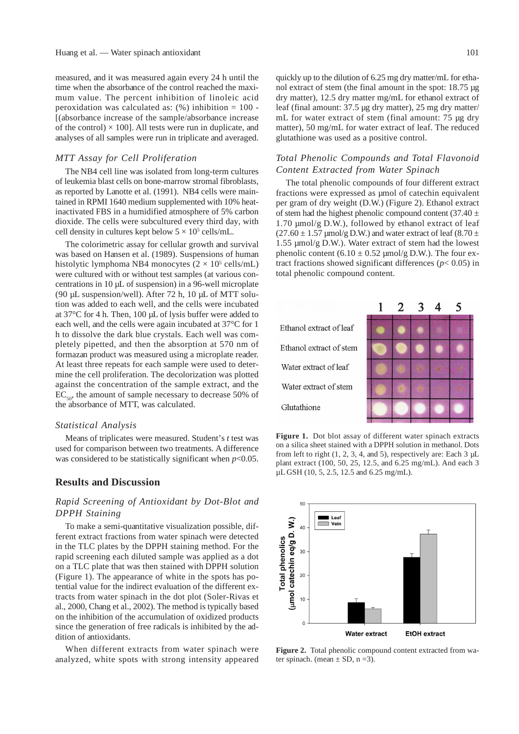measured, and it was measured again every 24 h until the time when the absorbance of the control reached the maximum value. The percent inhibition of linoleic acid peroxidation was calculated as:  $(\%)$  inhibition = 100 -[(absorbance increase of the sample/absorbance increase of the control)  $\times$  100]. All tests were run in duplicate, and analyses of all samples were run in triplicate and averaged.

### *MTT Assay for Cell Proliferation*

The NB4 cell line was isolated from long-term cultures of leukemia blast cells on bone-marrow stromal fibroblasts, as reported by Lanotte et al. (1991). NB4 cells were maintained in RPMI 1640 medium supplemented with 10% heatinactivated FBS in a humidified atmosphere of 5% carbon dioxide. The cells were subcultured every third day, with cell density in cultures kept below  $5 \times 10^5$  cells/mL.

The colorimetric assay for cellular growth and survival was based on Hansen et al. (1989). Suspensions of human histolytic lymphoma NB4 monocytes  $(2 \times 10^5 \text{ cells/mL})$ were cultured with or without test samples (at various concentrations in 10 µL of suspension) in a 96-well microplate (90 µL suspension/well). After 72 h, 10 µL of MTT solution was added to each well, and the cells were incubated at 37°C for 4 h. Then, 100 µL of lysis buffer were added to each well, and the cells were again incubated at 37°C for 1 h to dissolve the dark blue crystals. Each well was completely pipetted, and then the absorption at 570 nm of formazan product was measured using a microplate reader. At least three repeats for each sample were used to determine the cell proliferation. The decolorization was plotted against the concentration of the sample extract, and the  $EC_{50}$ , the amount of sample necessary to decrease 50% of the absorbance of MTT, was calculated.

#### *Statistical Analysis*

Means of triplicates were measured. Student's *t* test was used for comparison between two treatments. A difference was considered to be statistically significant when  $p<0.05$ .

### **Results and Discussion**

## *Rapid Screening of Antioxidant by Dot-Blot and DPPH Staining*

To make a semi-quantitative visualization possible, different extract fractions from water spinach were detected in the TLC plates by the DPPH staining method. For the rapid screening each diluted sample was applied as a dot on a TLC plate that was then stained with DPPH solution (Figure 1). The appearance of white in the spots has potential value for the indirect evaluation of the different extracts from water spinach in the dot plot (Soler-Rivas et al., 2000, Chang et al., 2002). The method is typically based on the inhibition of the accumulation of oxidized products since the generation of free radicals is inhibited by the addition of antioxidants.

When different extracts from water spinach were analyzed, white spots with strong intensity appeared quickly up to the dilution of 6.25 mg dry matter/mL for ethanol extract of stem (the final amount in the spot: 18.75 µg dry matter), 12.5 dry matter mg/mL for ethanol extract of leaf (final amount: 37.5 µg dry matter), 25 mg dry matter/ mL for water extract of stem (final amount: 75 µg dry matter), 50 mg/mL for water extract of leaf. The reduced glutathione was used as a positive control.

## *Total Phenolic Compounds and Total Flavonoid Content Extracted from Water Spinach*

The total phenolic compounds of four different extract fractions were expressed as µmol of catechin equivalent per gram of dry weight (D.W.) (Figure 2). Ethanol extract of stem had the highest phenolic compound content (37.40  $\pm$ 1.70 µmol/g D.W.), followed by ethanol extract of leaf  $(27.60 \pm 1.57 \,\mathrm{\mu mol/g \,D.W.})$  and water extract of leaf  $(8.70 \pm 1.57 \,\mathrm{\mu mol/g \,D.W.})$ 1.55 µmol/g D.W.). Water extract of stem had the lowest phenolic content  $(6.10 \pm 0.52 \text{ \mu m} \text{m}$  (g D.W.). The four extract fractions showed significant differences  $(p< 0.05)$  in total phenolic compound content.



**Figure 1.** Dot blot assay of different water spinach extracts on a silica sheet stained with a DPPH solution in methanol. Dots from left to right  $(1, 2, 3, 4, \text{ and } 5)$ , respectively are: Each 3 µL plant extract (100, 50, 25, 12.5, and 6.25 mg/mL). And each 3  $\mu$ L GSH (10, 5, 2.5, 12.5 and 6.25 mg/mL).



Figure 2. Total phenolic compound content extracted from water spinach. (mean  $\pm$  SD, n =3).

5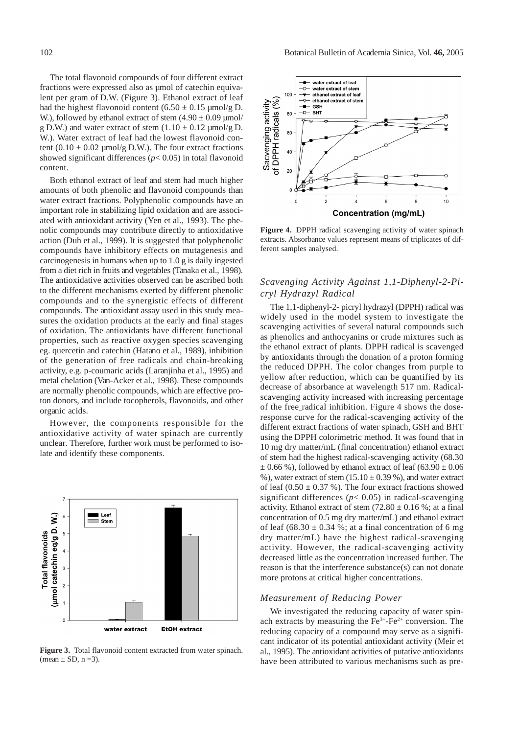The total flavonoid compounds of four different extract fractions were expressed also as µmol of catechin equivalent per gram of D.W. (Figure 3). Ethanol extract of leaf had the highest flavonoid content  $(6.50 \pm 0.15 \text{ \mu m} \text{ol/g D})$ . W.), followed by ethanol extract of stem  $(4.90 \pm 0.09 \,\text{\mu mol})$ g D.W.) and water extract of stem  $(1.10 \pm 0.12 \text{ \mu m}$ ol/g D. W.). Water extract of leaf had the lowest flavonoid content  $(0.10 \pm 0.02 \text{ \mu m}$ ol/g D.W.). The four extract fractions showed significant differences  $(p< 0.05)$  in total flavonoid content.

Both ethanol extract of leaf and stem had much higher amounts of both phenolic and flavonoid compounds than water extract fractions. Polyphenolic compounds have an important role in stabilizing lipid oxidation and are associated with antioxidant activity (Yen et al., 1993). The phenolic compounds may contribute directly to antioxidative action (Duh et al., 1999). It is suggested that polyphenolic compounds have inhibitory effects on mutagenesis and carcinogenesis in humans when up to 1.0 g is daily ingested from a diet rich in fruits and vegetables (Tanaka et al., 1998). The antioxidative activities observed can be ascribed both to the different mechanisms exerted by different phenolic compounds and to the synergistic effects of different compounds. The antioxidant assay used in this study measures the oxidation products at the early and final stages of oxidation. The antioxidants have different functional properties, such as reactive oxygen species scavenging eg. quercetin and catechin (Hatano et al., 1989), inhibition of the generation of free radicals and chain-breaking activity, e.g. p-coumaric acids (Laranjinha et al., 1995) and metal chelation (Van-Acker et al., 1998). These compounds are normally phenolic compounds, which are effective proton donors, and include tocopherols, flavonoids, and other organic acids.

However, the components responsible for the antioxidative activity of water spinach are currently unclear. Therefore, further work must be performed to isolate and identify these components.



**Figure 3.** Total flavonoid content extracted from water spinach. (mean  $\pm$  SD, n =3).



**Figure 4.** DPPH radical scavenging activity of water spinach extracts. Absorbance values represent means of triplicates of different samples analysed.

## *Scavenging Activity Against 1,1-Diphenyl-2-Picryl Hydrazyl Radical*

The 1,1-diphenyl-2- picryl hydrazyl (DPPH) radical was widely used in the model system to investigate the scavenging activities of several natural compounds such as phenolics and anthocyanins or crude mixtures such as the ethanol extract of plants. DPPH radical is scavenged by antioxidants through the donation of a proton forming the reduced DPPH. The color changes from purple to yellow after reduction, which can be quantified by its decrease of absorbance at wavelength 517 nm. Radicalscavenging activity increased with increasing percentage of the free radical inhibition. Figure 4 shows the doseresponse curve for the radical-scavenging activity of the different extract fractions of water spinach, GSH and BHT using the DPPH colorimetric method. It was found that in 10 mg dry matter/mL (final concentration) ethanol extract of stem had the highest radical-scavenging activity (68.30  $\pm$  0.66 %), followed by ethanol extract of leaf (63.90  $\pm$  0.06 %), water extract of stem  $(15.10 \pm 0.39)$ %, and water extract of leaf  $(0.50 \pm 0.37 \%)$ . The four extract fractions showed significant differences ( $p$ < 0.05) in radical-scavenging activity. Ethanol extract of stem  $(72.80 \pm 0.16 \%)$ ; at a final concentration of 0.5 mg dry matter/mL) and ethanol extract of leaf  $(68.30 \pm 0.34 \%)$ ; at a final concentration of 6 mg dry matter/mL) have the highest radical-scavenging activity. However, the radical-scavenging activity decreased little as the concentration increased further. The reason is that the interference substance(s) can not donate more protons at critical higher concentrations.

#### *Measurement of Reducing Power*

We investigated the reducing capacity of water spinach extracts by measuring the  $Fe<sup>3+</sup>-Fe<sup>2+</sup>$  conversion. The reducing capacity of a compound may serve as a significant indicator of its potential antioxidant activity (Meir et al., 1995). The antioxidant activities of putative antioxidants have been attributed to various mechanisms such as pre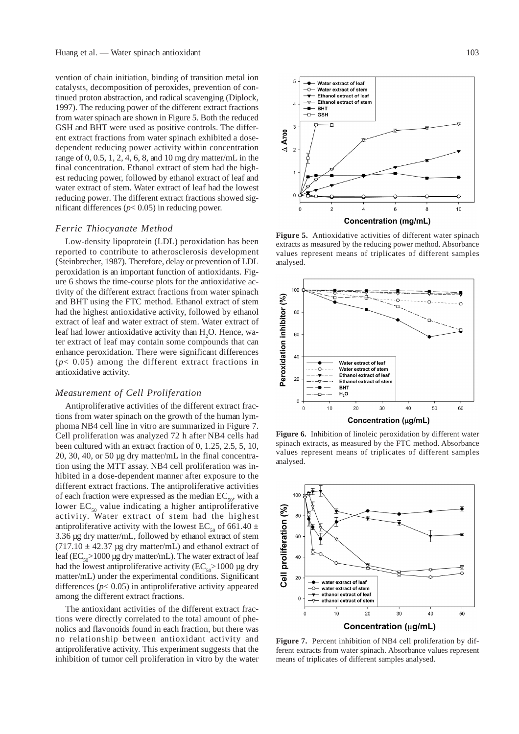vention of chain initiation, binding of transition metal ion catalysts, decomposition of peroxides, prevention of continued proton abstraction, and radical scavenging (Diplock, 1997). The reducing power of the different extract fractions from water spinach are shown in Figure 5. Both the reduced GSH and BHT were used as positive controls. The different extract fractions from water spinach exhibited a dosedependent reducing power activity within concentration range of  $0, 0.5, 1, 2, 4, 6, 8$ , and  $10$  mg dry matter/mL in the final concentration. Ethanol extract of stem had the highest reducing power, followed by ethanol extract of leaf and water extract of stem. Water extract of leaf had the lowest reducing power. The different extract fractions showed significant differences ( $p$ < 0.05) in reducing power.

#### *Ferric Thiocyanate Method*

Low-density lipoprotein (LDL) peroxidation has been reported to contribute to atherosclerosis development (Steinbrecher, 1987). Therefore, delay or prevention of LDL peroxidation is an important function of antioxidants. Figure 6 shows the time-course plots for the antioxidative activity of the different extract fractions from water spinach and BHT using the FTC method. Ethanol extract of stem had the highest antioxidative activity, followed by ethanol extract of leaf and water extract of stem. Water extract of leaf had lower antioxidative activity than  $H_2O$ . Hence, water extract of leaf may contain some compounds that can enhance peroxidation. There were significant differences (*p*< 0.05) among the different extract fractions in antioxidative activity.

#### *Measurement of Cell Proliferation*

Antiproliferative activities of the different extract fractions from water spinach on the growth of the human lymphoma NB4 cell line in vitro are summarized in Figure 7. Cell proliferation was analyzed 72 h after NB4 cells had been cultured with an extract fraction of 0, 1.25, 2.5, 5, 10, 20, 30, 40, or 50 µg dry matter/mL in the final concentration using the MTT assay. NB4 cell proliferation was inhibited in a dose-dependent manner after exposure to the different extract fractions. The antiproliferative activities of each fraction were expressed as the median  $EC_{50}$ , with a lower  $EC_{50}$  value indicating a higher antiproliferative activity. Water extract of stem had the highest antiproliferative activity with the lowest EC<sub>50</sub> of 661.40  $\pm$ 3.36 µg dry matter/mL, followed by ethanol extract of stem  $(717.10 \pm 42.37 \text{ µg dry matter/mL})$  and ethanol extract of leaf ( $EC_{\rm s0}$ >1000 µg dry matter/mL). The water extract of leaf had the lowest antiproliferative activity ( $EC_{50}$ >1000 µg dry matter/mL) under the experimental conditions. Significant differences  $(p< 0.05)$  in antiproliferative activity appeared among the different extract fractions.

The antioxidant activities of the different extract fractions were directly correlated to the total amount of phenolics and flavonoids found in each fraction, but there was no relationship between antioxidant activity and antiproliferative activity. This experiment suggests that the inhibition of tumor cell proliferation in vitro by the water



**Figure 5.** Antioxidative activities of different water spinach extracts as measured by the reducing power method. Absorbance values represent means of triplicates of different samples analysed.



**Figure 6.** Inhibition of linoleic peroxidation by different water spinach extracts, as measured by the FTC method. Absorbance values represent means of triplicates of different samples analysed.



**Figure 7.** Percent inhibition of NB4 cell proliferation by different extracts from water spinach. Absorbance values represent means of triplicates of different samples analysed.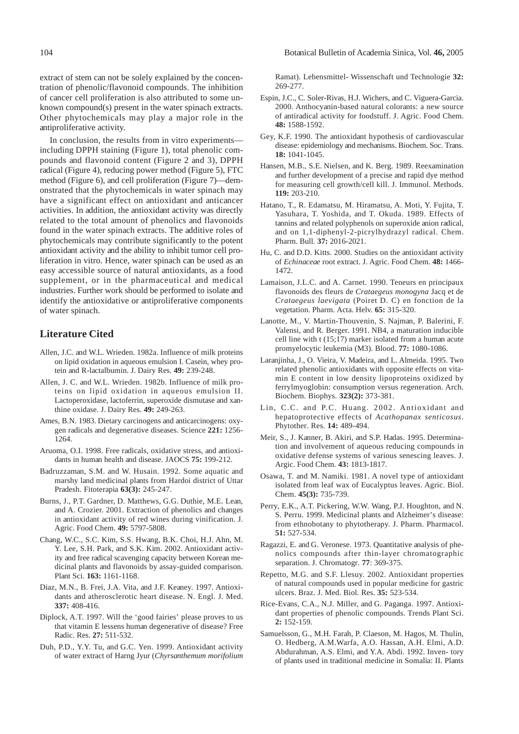extract of stem can not be solely explained by the concentration of phenolic/flavonoid compounds. The inhibition of cancer cell proliferation is also attributed to some unknown compound(s) present in the water spinach extracts. Other phytochemicals may play a major role in the antiproliferative activity.

In conclusion, the results from in vitro experiments including DPPH staining (Figure 1), total phenolic compounds and flavonoid content (Figure 2 and 3), DPPH radical (Figure 4), reducing power method (Figure 5), FTC method (Figure 6), and cell proliferation (Figure 7)—demonstrated that the phytochemicals in water spinach may have a significant effect on antioxidant and anticancer activities. In addition, the antioxidant activity was directly related to the total amount of phenolics and flavonoids found in the water spinach extracts. The additive roles of phytochemicals may contribute significantly to the potent antioxidant activity and the ability to inhibit tumor cell proliferation in vitro. Hence, water spinach can be used as an easy accessible source of natural antioxidants, as a food supplement, or in the pharmaceutical and medical industries. Further work should be performed to isolate and identify the antioxidative or antiproliferative components of water spinach.

## **Literature Cited**

- Allen, J.C. and W.L. Wrieden. 1982a. Influence of milk proteins on lipid oxidation in aqueous emulsion I. Casein, whey protein and R-lactalbumin. J. Dairy Res. **49:** 239-248.
- Allen, J. C. and W.L. Wrieden. 1982b. Influence of milk proteins on lipid oxidation in aqueous emulsion II. Lactoperoxidase, lactoferrin, superoxide dismutase and xanthine oxidase. J. Dairy Res. **49:** 249-263.
- Ames, B.N. 1983. Dietary carcinogens and anticarcinogens: oxygen radicals and degenerative diseases. Science **221:** 1256- 1264.
- Aruoma, O.I. 1998. Free radicals, oxidative stress, and antioxidants in human health and disease. JAOCS **75:** 199-212.
- Badruzzaman, S.M. and W. Husain. 1992. Some aquatic and marshy land medicinal plants from Hardoi district of Uttar Pradesh. Fitoterapia **63(3):** 245-247.
- Burns, J., P.T. Gardner, D. Matthews, G.G. Duthie, M.E. Lean, and A. Crozier. 2001. Extraction of phenolics and changes in antioxidant activity of red wines during vinification. J. Agric. Food Chem. **49:** 5797-5808.
- Chang, W.C., S.C. Kim, S.S. Hwang, B.K. Choi, H.J. Ahn, M. Y. Lee, S.H. Park, and S.K. Kim. 2002. Antioxidant activity and free radical scavenging capacity between Korean medicinal plants and flavonoids by assay-guided comparison. Plant Sci. **163:** 1161-1168.
- Diaz, M.N., B. Frei, J.A. Vita, and J.F. Keaney. 1997. Antioxidants and atherosclerotic heart disease. N. Engl. J. Med. **337:** 408-416.
- Diplock, A.T. 1997. Will the 'good fairies' please proves to us that vitamin E lessens human degenerative of disease? Free Radic. Res. **27:** 511-532.
- Duh, P.D., Y.Y. Tu, and G.C. Yen. 1999. Antioxidant activity of water extract of Harng Jyur (*Chyrsanthemum morifolium*

Ramat). Lebensmittel- Wissenschaft und Technologie **32:** 269-277.

- Espin, J.C., C. Soler-Rivas, H.J. Wichers, and C. Viguera-Garcia. 2000. Anthocyanin-based natural colorants: a new source of antiradical activity for foodstuff. J. Agric. Food Chem. **48:** 1588-1592.
- Gey, K.F. 1990. The antioxidant hypothesis of cardiovascular disease: epidemiology and mechanisms. Biochem. Soc. Trans. **18:** 1041-1045.
- Hansen, M.B., S.E. Nielsen, and K. Berg. 1989. Reexamination and further development of a precise and rapid dye method for measuring cell growth/cell kill. J. Immunol. Methods. **119:** 203-210.
- Hatano, T., R. Edamatsu, M. Hiramatsu, A. Moti, Y. Fujita, T. Yasuhara, T. Yoshida, and T. Okuda. 1989. Effects of tannins and related polyphenols on superoxide anion radical, and on 1,1-diphenyl-2-picrylhydrazyl radical. Chem. Pharm. Bull. **37:** 2016-2021.
- Hu, C. and D.D. Kitts. 2000. Studies on the antioxidant activity of *Echinaceae* root extract. J. Agric. Food Chem. **48:** 1466- 1472.
- Lamaison, J.L.C. and A. Carnet. 1990. Teneurs en principaux flavonoids des fleurs de *Crataegeus monogyna* Jacq et de *Crataegeus laevigata* (Poiret D. C) en fonction de la vegetation. Pharm. Acta. Helv. **65:** 315-320.
- Lanotte, M., V. Martin-Thouvenin, S. Najman, P. Balerini, F. Valensi, and R. Berger. 1991. NB4, a maturation inducible cell line with t (15;17) marker isolated from a human acute promyelocytic leukemia (M3). Blood. **77:** 1080-1086.
- Laranjinha, J., O. Vieira, V. Madeira, and L. Almeida. 1995. Two related phenolic antioxidants with opposite effects on vitamin E content in low density lipoproteins oxidized by ferrylmyoglobin: consumption versus regeneration. Arch. Biochem. Biophys. **323(2):** 373-381.
- Lin, C.C. and P.C. Huang. 2002. Antioxidant and hepatoprotective effects of *Acathopanax senticosus*. Phytother. Res. **14:** 489-494.
- Meir, S., J. Kanner, B. Akiri, and S.P. Hadas. 1995. Determination and involvement of aqueous reducing compounds in oxidative defense systems of various senescing leaves. J. Argic. Food Chem. **43:** 1813-1817.
- Osawa, T. and M. Namiki. 1981. A novel type of antioxidant isolated from leaf wax of Eucalyptus leaves. Agric. Biol. Chem. **45(3):** 735-739.
- Perry, E.K., A.T. Pickering, W.W. Wang, P.J. Houghton, and N. S. Perru. 1999. Medicinal plants and Alzheimer's disease: from ethnobotany to phytotherapy. J. Pharm. Pharmacol. **51:** 527-534.
- Ragazzi, E. and G. Veronese. 1973. Quantitative analysis of phenolics compounds after thin-layer chromatographic separation. J. Chromatogr. **77**: 369-375.
- Repetto, M.G. and S.F. Llesuy. 2002. Antioxidant properties of natural compounds used in popular medicine for gastric ulcers. Braz. J. Med. Biol. Res. **35:** 523-534.
- Rice-Evans, C.A., N.J. Miller, and G. Paganga. 1997. Antioxidant properties of phenolic compounds. Trends Plant Sci. **2:** 152-159.
- Samuelsson, G., M.H. Farah, P. Claeson, M. Hagos, M. Thulin, O. Hedberg, A.M.Warfa, A.O. Hassan, A.H. Elmi, A.D. Abdurahman, A.S. Elmi, and Y.A. Abdi. 1992. Inven- tory of plants used in traditional medicine in Somalia: II. Plants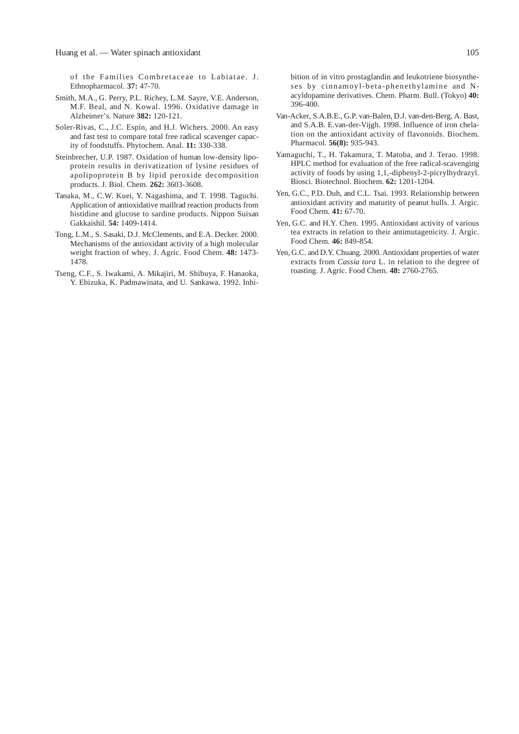of the Families Combretaceae to Labiatae. J. Ethnopharmacol. **37:** 47-70.

- Smith, M.A., G. Perry, P.L. Richey, L.M. Sayre, V.E. Anderson, M.F. Beal, and N. Kowal. 1996. Oxidative damage in Alzheimer's. Nature **382:** 120-121.
- Soler-Rivas, C., J.C. Espín, and H.J. Wichers. 2000. An easy and fast test to compare total free radical scavenger capacity of foodstuffs. Phytochem. Anal. **11:** 330-338.
- Steinbrecher, U.P. 1987. Oxidation of human low-density lipoprotein results in derivatization of lysine residues of apolipoprotein B by lipid peroxide decomposition products. J. Biol. Chem. **262:** 3603-3608.
- Tanaka, M., C.W. Kuei, Y. Nagashima, and T. 1998. Taguchi. Application of antioxidative maillrad reaction products from histidine and glucose to sardine products. Nippon Suisan Gakkaishil. **54:** 1409-1414.
- Tong, L.M., S. Sasaki, D.J. McClements, and E.A. Decker. 2000. Mechanisms of the antioxidant activity of a high molecular weight fraction of whey*.* J. Agric. Food Chem. **48:** 1473- 1478.
- Tseng, C.F., S. Iwakami, A. Mikajiri, M. Shibuya, F. Hanaoka, Y. Ebizuka, K. Padmawinata, and U. Sankawa. 1992. Inhi-

bition of in vitro prostaglandin and leukotriene biosyntheses by cinnamoyl-beta-phenethylamine and Nacyldopamine derivatives. Chem. Pharm. Bull. (Tokyo) **40:** 396-400.

- Van-Acker, S.A.B.E., G.P. van-Balen, D.J. van-den-Berg, A. Bast, and S.A.B. E.van-der-Vijgh. 1998. Influence of iron chelation on the antioxidant activity of flavonoids. Biochem. Pharmacol. **56(8):** 935-943.
- Yamaguchi, T., H. Takamura, T. Matoba, and J. Terao. 1998. HPLC method for evaluation of the free radical-scavenging activity of foods by using 1,1,-diphenyl-2-picrylhydrazyl. Biosci. Biotechnol. Biochem. **62:** 1201-1204.
- Yen, G.C., P.D. Duh, and C.L. Tsai. 1993. Relationship between antioxidant activity and maturity of peanut hulls. J. Argic. Food Chem. **41:** 67-70.
- Yen, G.C. and H.Y. Chen. 1995. Antioxidant activity of various tea extracts in relation to their antimutagenicity. J. Argic. Food Chem. **46:** 849-854.
- Yen, G.C. and D.Y. Chuang. 2000. Antioxidant properties of water extracts from *Cassia tora* L. in relation to the degree of roasting. J. Agric. Food Chem. **48:** 2760-2765.